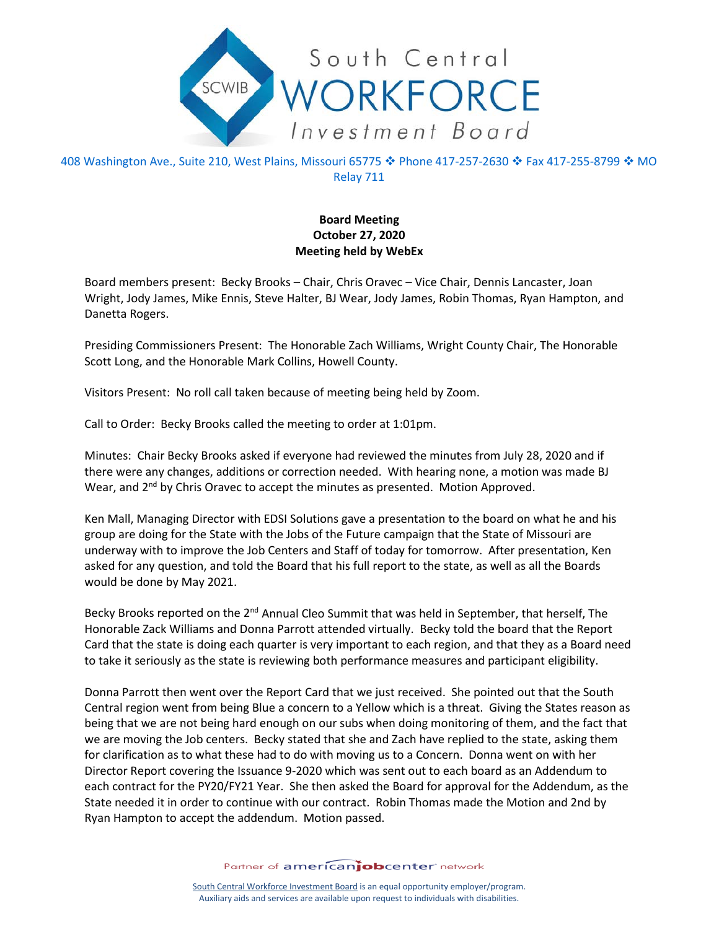

408 Washington Ave., Suite 210, West Plains, Missouri 65775 ❖ Phone 417-257-2630 ❖ Fax 417-255-8799 ❖ MO Relay 711

## **Board Meeting October 27, 2020 Meeting held by WebEx**

Board members present: Becky Brooks – Chair, Chris Oravec – Vice Chair, Dennis Lancaster, Joan Wright, Jody James, Mike Ennis, Steve Halter, BJ Wear, Jody James, Robin Thomas, Ryan Hampton, and Danetta Rogers.

Presiding Commissioners Present: The Honorable Zach Williams, Wright County Chair, The Honorable Scott Long, and the Honorable Mark Collins, Howell County.

Visitors Present: No roll call taken because of meeting being held by Zoom.

Call to Order: Becky Brooks called the meeting to order at 1:01pm.

Minutes: Chair Becky Brooks asked if everyone had reviewed the minutes from July 28, 2020 and if there were any changes, additions or correction needed. With hearing none, a motion was made BJ Wear, and  $2<sup>nd</sup>$  by Chris Oravec to accept the minutes as presented. Motion Approved.

Ken Mall, Managing Director with EDSI Solutions gave a presentation to the board on what he and his group are doing for the State with the Jobs of the Future campaign that the State of Missouri are underway with to improve the Job Centers and Staff of today for tomorrow. After presentation, Ken asked for any question, and told the Board that his full report to the state, as well as all the Boards would be done by May 2021.

Becky Brooks reported on the 2<sup>nd</sup> Annual Cleo Summit that was held in September, that herself, The Honorable Zack Williams and Donna Parrott attended virtually. Becky told the board that the Report Card that the state is doing each quarter is very important to each region, and that they as a Board need to take it seriously as the state is reviewing both performance measures and participant eligibility.

Donna Parrott then went over the Report Card that we just received. She pointed out that the South Central region went from being Blue a concern to a Yellow which is a threat. Giving the States reason as being that we are not being hard enough on our subs when doing monitoring of them, and the fact that we are moving the Job centers. Becky stated that she and Zach have replied to the state, asking them for clarification as to what these had to do with moving us to a Concern. Donna went on with her Director Report covering the Issuance 9-2020 which was sent out to each board as an Addendum to each contract for the PY20/FY21 Year. She then asked the Board for approval for the Addendum, as the State needed it in order to continue with our contract. Robin Thomas made the Motion and 2nd by Ryan Hampton to accept the addendum. Motion passed.

Partner of americanjobcenter network